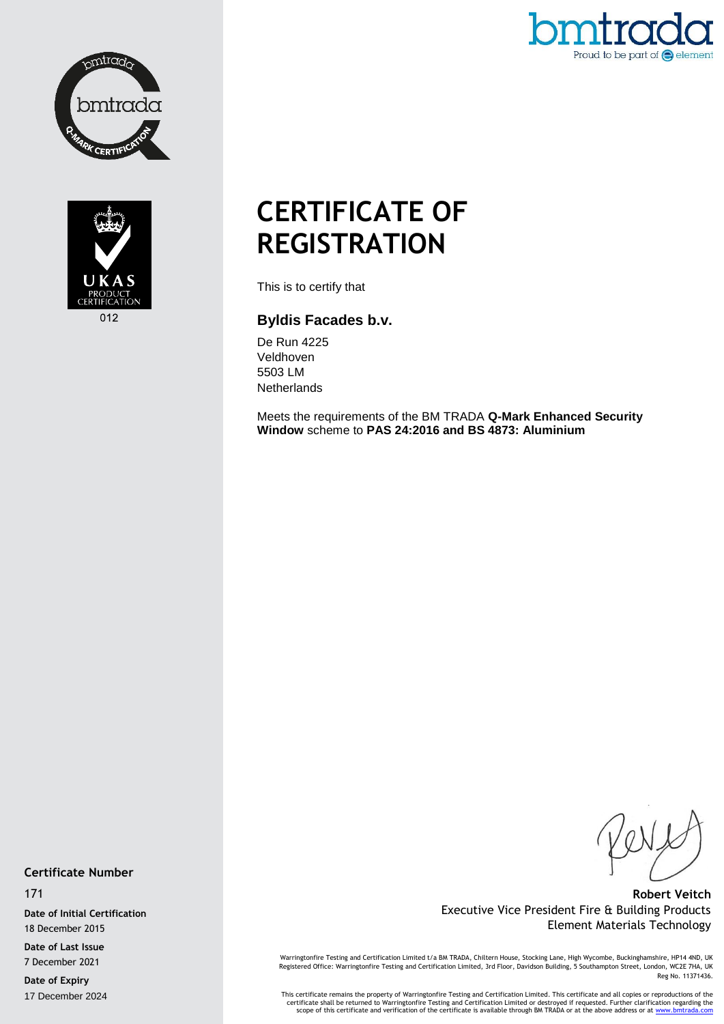



Proud to be part of  $\bigodot$  element

# **CERTIFICATE OF REGISTRATION**

This is to certify that

# **Byldis Facades b.v.**

De Run 4225 Veldhoven 5503 LM **Netherlands** 

Meets the requirements of the BM TRADA **Q-Mark Enhanced Security Window** scheme to **PAS 24:2016 and BS 4873: Aluminium**

### **Certificate Number**

171

**Date of Initial Certification** 18 December 2015

**Date of Last Issue** 7 December 2021

**Date of Expiry** 17 December 2024

**Robert Veitch** Executive Vice President Fire & Building Products Element Materials Technology

Warringtonfire Testing and Certification Limited t/a BM TRADA, Chiltern House, Stocking Lane, High Wycombe, Buckinghamshire, HP14 4ND, UK<br>Registered Office: Warringtonfire Testing and Certification Limited, 3rd Floor, Davi Reg No. 11371436.

This certificate remains the property of Warringtonfire Testing and Certification Limited. This certificate and all copies or reproductions of the<br>Certificate shall be returned to Warringtonfire Testing and Certification L